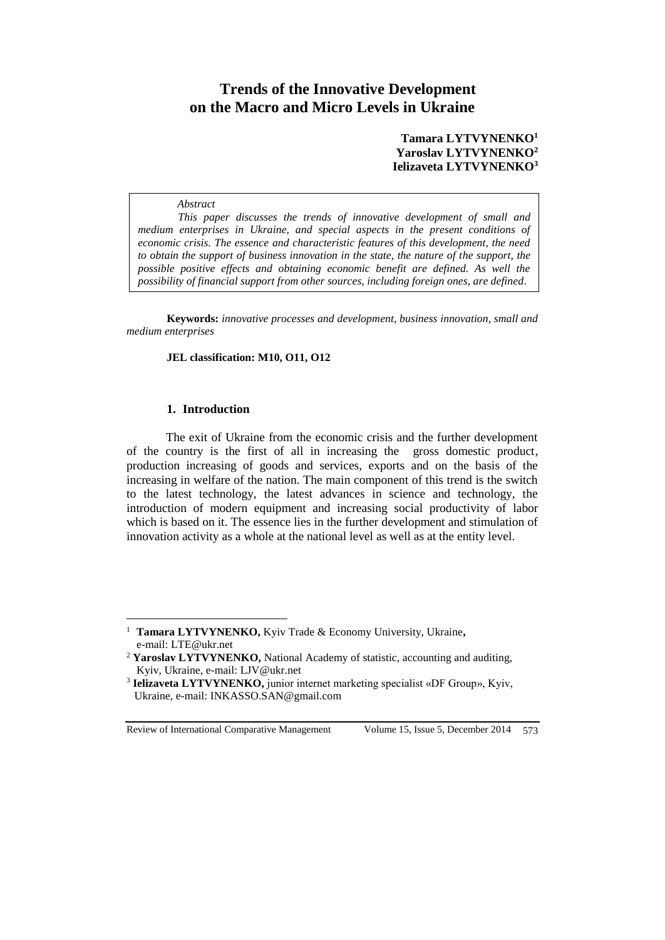# **Trends of the Innovative Development on the Macro and Micro Levels in Ukraine**

## **Tamara LYTVYNENKO<sup>1</sup> Yaroslav LYTVYNENKO<sup>2</sup> Ielizaveta LYTVYNENKO<sup>3</sup>**

#### *Abstract*

*This paper discusses the trends of innovative development of small and medium enterprises in Ukraine, and special aspects in the present conditions of economic crisis. The essence and characteristic features of this development, the need to obtain the support of business innovation in the state, the nature of the support, the possible positive effects and obtaining economic benefit are defined. As well the possibility of financial support from other sources, including foreign ones, are defined.*

**Keywords:** *innovative processes and development, business innovation, small and medium enterprises*

#### **JEL classification: M10, O11, O12**

### **1. Introduction**

 $\overline{a}$ 

The exit of Ukraine from the economic crisis and the further development of the country is the first of all in increasing the gross domestic product, production increasing of goods and services, exports and on the basis of the increasing in welfare of the nation. The main component of this trend is the switch to the latest technology, the latest advances in science and technology, the introduction of modern equipment and increasing social productivity of labor which is based on it. The essence lies in the further development and stimulation of innovation activity as a whole at the national level as well as at the entity level.

Review of International Comparative Management Volume 15, Issue 5, December 2014 573

<sup>1</sup> **Tamara LYTVYNENKO,** Kyiv Trade & Economy University, Ukraine**,**  e-mail: [LTE@ukr.net](mailto:LTE@ukr.net)

<sup>2</sup> **Yaroslav LYTVYNENKO,** National Academy of statistic, accounting and auditing, Kyiv, Ukraine, e-mail: [LJV@ukr.net](mailto:LJV@ukr.net)

<sup>&</sup>lt;sup>3</sup> Ielizaveta LYTVYNENKO, junior internet marketing specialist «DF Group», Kyiv, Ukraine, e-mail: [INKASSO.SAN@gmail.com](mailto:INKASSO.SAN@gmail.com)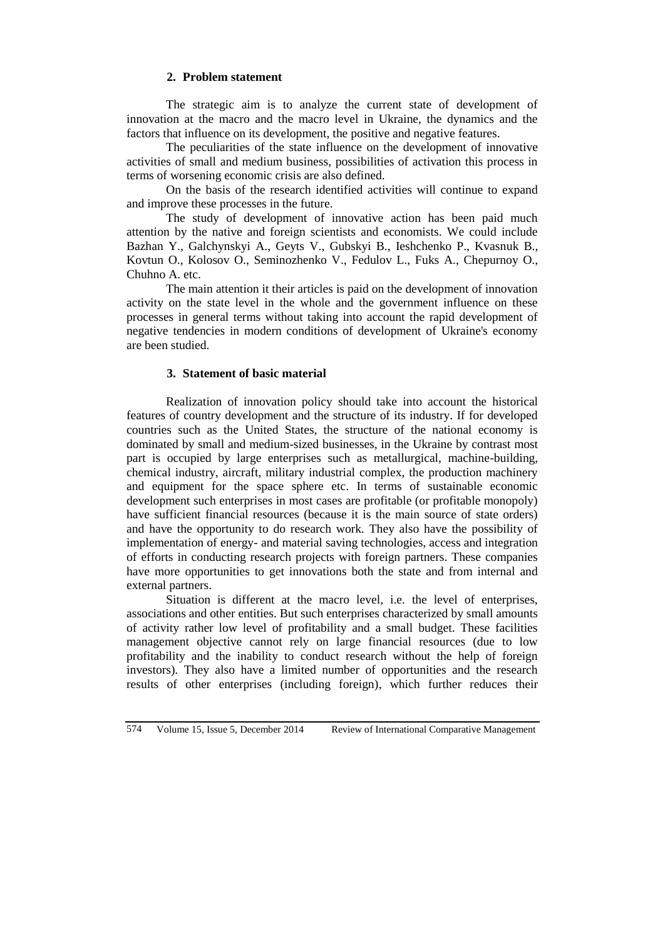### **2. Problem statement**

The strategic aim is to analyze the current state of development of innovation at the macro and the macro level in Ukraine, the dynamics and the factors that influence on its development, the positive and negative features.

The peculiarities of the state influence on the development of innovative activities of small and medium business, possibilities of activation this process in terms of worsening economic crisis are also defined.

On the basis of the research identified activities will continue to expand and improve these processes in the future.

The study of development of innovative action has been paid much attention by the native and foreign scientists and economists. We could include Bazhan Y., Galchynskyi A., Geyts V., Gubskyi B., Ieshchenko P., Kvasnuk B., Kovtun O., Kolosov O., Seminozhenko V., Fedulov L., Fuks A., Chepurnoy O., Chuhno A. etc.

The main attention it their articles is paid on the development of innovation activity on the state level in the whole and the government influence on these processes in general terms without taking into account the rapid development of negative tendencies in modern conditions of development of Ukraine's economy are been studied.

# **3. Statement of basic material**

Realization of innovation policy should take into account the historical features of country development and the structure of its industry. If for developed countries such as the United States, the structure of the national economy is dominated by small and medium-sized businesses, in the Ukraine by contrast most part is occupied by large enterprises such as metallurgical, machine-building, chemical industry, aircraft, military industrial complex, the production machinery and equipment for the space sphere etc. In terms of sustainable economic development such enterprises in most cases are profitable (or profitable monopoly) have sufficient financial resources (because it is the main source of state orders) and have the opportunity to do research work. They also have the possibility of implementation of energy- and material saving technologies, access and integration of efforts in conducting research projects with foreign partners. These companies have more opportunities to get innovations both the state and from internal and external partners.

Situation is different at the macro level, i.e. the level of enterprises, associations and other entities. But such enterprises characterized by small amounts of activity rather low level of profitability and a small budget. These facilities management objective cannot rely on large financial resources (due to low profitability and the inability to conduct research without the help of foreign investors). They also have a limited number of opportunities and the research results of other enterprises (including foreign), which further reduces their

574 Volume 15, Issue 5, December 2014 Review of International Comparative Management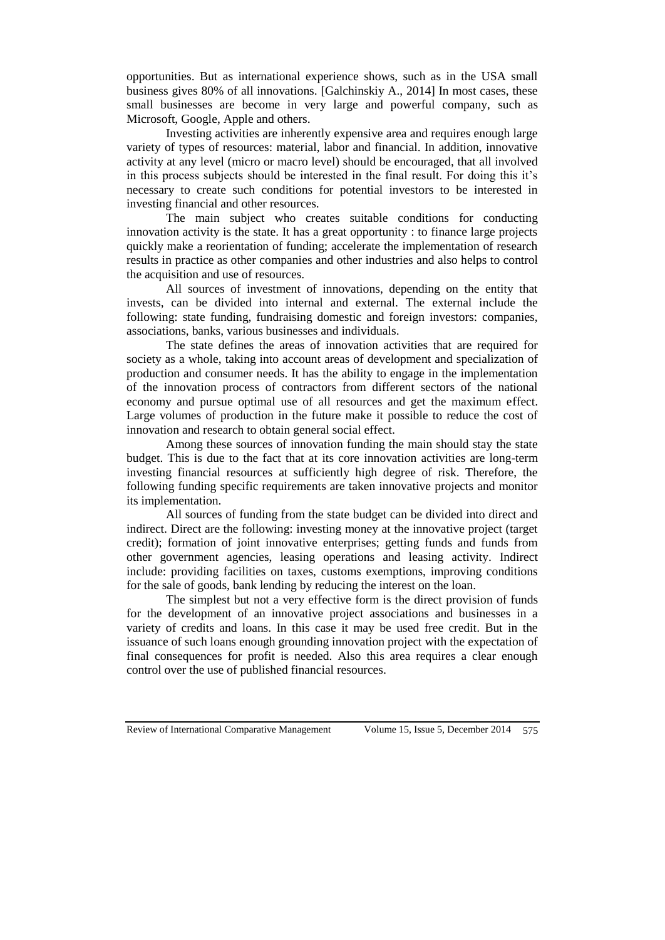opportunities. But as international experience shows, such as in the USA small business gives 80% of all innovations. [Galchinskiy A., 2014] In most cases, these small businesses are become in very large and powerful company, such as Microsoft, Google, Apple and others.

Investing activities are inherently expensive area and requires enough large variety of types of resources: material, labor and financial. In addition, innovative activity at any level (micro or macro level) should be encouraged, that all involved in this process subjects should be interested in the final result. For doing this it's necessary to create such conditions for potential investors to be interested in investing financial and other resources.

The main subject who creates suitable conditions for conducting innovation activity is the state. It has a great opportunity : to finance large projects quickly make a reorientation of funding; accelerate the implementation of research results in practice as other companies and other industries and also helps to control the acquisition and use of resources.

All sources of investment of innovations, depending on the entity that invests, can be divided into internal and external. The external include the following: state funding, fundraising domestic and foreign investors: companies, associations, banks, various businesses and individuals.

The state defines the areas of innovation activities that are required for society as a whole, taking into account areas of development and specialization of production and consumer needs. It has the ability to engage in the implementation of the innovation process of contractors from different sectors of the national economy and pursue optimal use of all resources and get the maximum effect. Large volumes of production in the future make it possible to reduce the cost of innovation and research to obtain general social effect.

Among these sources of innovation funding the main should stay the state budget. This is due to the fact that at its core innovation activities are long-term investing financial resources at sufficiently high degree of risk. Therefore, the following funding specific requirements are taken innovative projects and monitor its implementation.

All sources of funding from the state budget can be divided into direct and indirect. Direct are the following: investing money at the innovative project (target credit); formation of joint innovative enterprises; getting funds and funds from other government agencies, leasing operations and leasing activity. Indirect include: providing facilities on taxes, customs exemptions, improving conditions for the sale of goods, bank lending by reducing the interest on the loan.

The simplest but not a very effective form is the direct provision of funds for the development of an innovative project associations and businesses in a variety of credits and loans. In this case it may be used free credit. But in the issuance of such loans enough grounding innovation project with the expectation of final consequences for profit is needed. Also this area requires a clear enough control over the use of published financial resources.

Review of International Comparative Management Volume 15, Issue 5, December 2014 575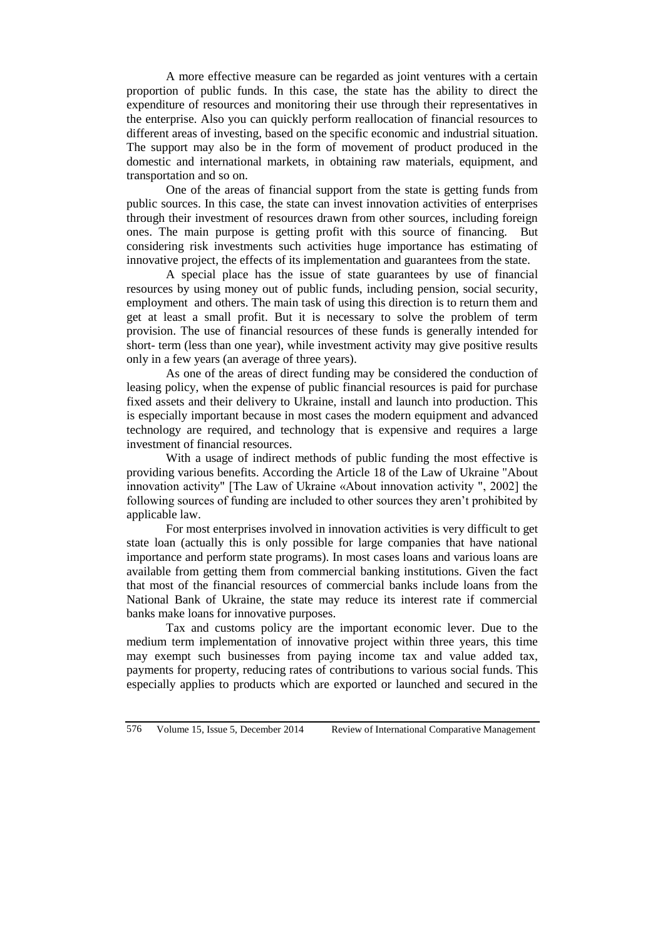A more effective measure can be regarded as joint ventures with a certain proportion of public funds. In this case, the state has the ability to direct the expenditure of resources and monitoring their use through their representatives in the enterprise. Also you can quickly perform reallocation of financial resources to different areas of investing, based on the specific economic and industrial situation. The support may also be in the form of movement of product produced in the domestic and international markets, in obtaining raw materials, equipment, and transportation and so on.

One of the areas of financial support from the state is getting funds from public sources. In this case, the state can invest innovation activities of enterprises through their investment of resources drawn from other sources, including foreign ones. The main purpose is getting profit with this source of financing. But considering risk investments such activities huge importance has estimating of innovative project, the effects of its implementation and guarantees from the state.

A special place has the issue of state guarantees by use of financial resources by using money out of public funds, including pension, social security, employment and others. The main task of using this direction is to return them and get at least a small profit. But it is necessary to solve the problem of term provision. The use of financial resources of these funds is generally intended for short- term (less than one year), while investment activity may give positive results only in a few years (an average of three years).

As one of the areas of direct funding may be considered the conduction of leasing policy, when the expense of public financial resources is paid for purchase fixed assets and their delivery to Ukraine, install and launch into production. This is especially important because in most cases the modern equipment and advanced technology are required, and technology that is expensive and requires a large investment of financial resources.

With a usage of indirect methods of public funding the most effective is providing various benefits. According the Article 18 of the Law of Ukraine "About innovation activity" [The Law of Ukraine «About innovation activity ", 2002] the following sources of funding are included to other sources they aren't prohibited by applicable law.

For most enterprises involved in innovation activities is very difficult to get state loan (actually this is only possible for large companies that have national importance and perform state programs). In most cases loans and various loans are available from getting them from commercial banking institutions. Given the fact that most of the financial resources of commercial banks include loans from the National Bank of Ukraine, the state may reduce its interest rate if commercial banks make loans for innovative purposes.

Tax and customs policy are the important economic lever. Due to the medium term implementation of innovative project within three years, this time may exempt such businesses from paying income tax and value added tax, payments for property, reducing rates of contributions to various social funds. This especially applies to products which are exported or launched and secured in the

576 Volume 15, Issue 5, December 2014 Review of International Comparative Management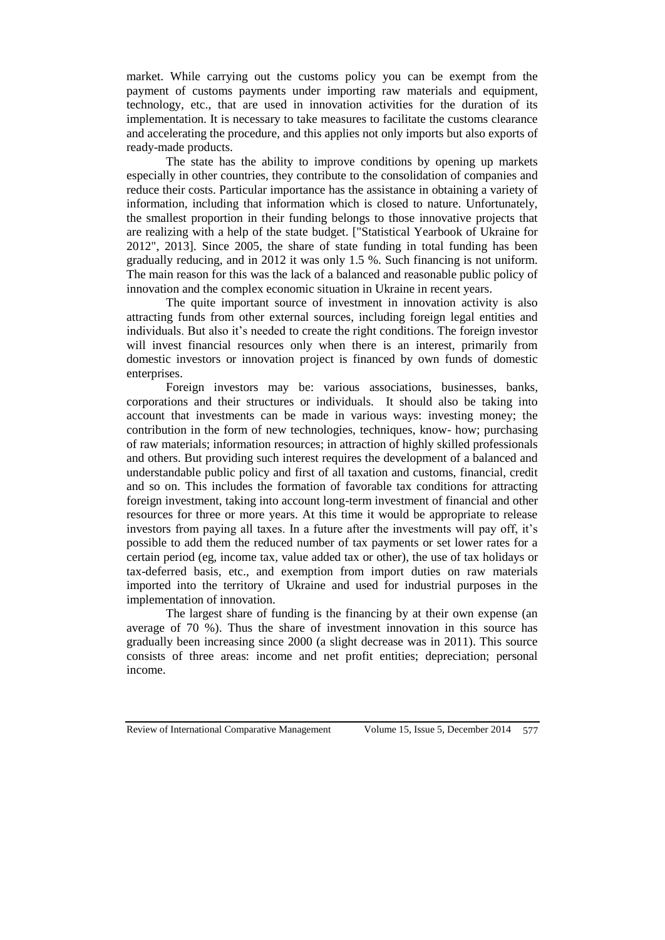market. While carrying out the customs policy you can be exempt from the payment of customs payments under importing raw materials and equipment, technology, etc., that are used in innovation activities for the duration of its implementation. It is necessary to take measures to facilitate the customs clearance and accelerating the procedure, and this applies not only imports but also exports of ready-made products.

The state has the ability to improve conditions by opening up markets especially in other countries, they contribute to the consolidation of companies and reduce their costs. Particular importance has the assistance in obtaining a variety of information, including that information which is closed to nature. Unfortunately, the smallest proportion in their funding belongs to those innovative projects that are realizing with a help of the state budget. ["Statistical Yearbook of Ukraine for 2012", 2013]. Since 2005, the share of state funding in total funding has been gradually reducing, and in 2012 it was only 1.5 %. Such financing is not uniform. The main reason for this was the lack of a balanced and reasonable public policy of innovation and the complex economic situation in Ukraine in recent years.

The quite important source of investment in innovation activity is also attracting funds from other external sources, including foreign legal entities and individuals. But also it's needed to create the right conditions. The foreign investor will invest financial resources only when there is an interest, primarily from domestic investors or innovation project is financed by own funds of domestic enterprises.

Foreign investors may be: various associations, businesses, banks, corporations and their structures or individuals. It should also be taking into account that investments can be made in various ways: investing money; the contribution in the form of new technologies, techniques, know- how; purchasing of raw materials; information resources; in attraction of highly skilled professionals and others. But providing such interest requires the development of a balanced and understandable public policy and first of all taxation and customs, financial, credit and so on. This includes the formation of favorable tax conditions for attracting foreign investment, taking into account long-term investment of financial and other resources for three or more years. At this time it would be appropriate to release investors from paying all taxes. In a future after the investments will pay off, it's possible to add them the reduced number of tax payments or set lower rates for a certain period (eg, income tax, value added tax or other), the use of tax holidays or tax-deferred basis, etc., and exemption from import duties on raw materials imported into the territory of Ukraine and used for industrial purposes in the implementation of innovation.

The largest share of funding is the financing by at their own expense (an average of 70 %). Thus the share of investment innovation in this source has gradually been increasing since 2000 (a slight decrease was in 2011). This source consists of three areas: income and net profit entities; depreciation; personal income.

Review of International Comparative Management Volume 15, Issue 5, December 2014 577